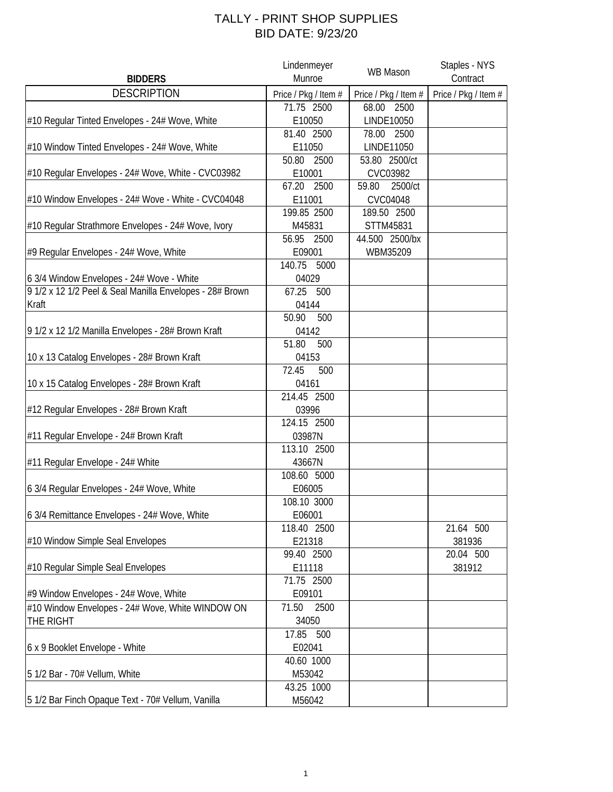## TALLY - PRINT SHOP SUPPLIES BID DATE: 9/23/20

|                                                          | Lindenmeyer          | WB Mason             | Staples - NYS        |
|----------------------------------------------------------|----------------------|----------------------|----------------------|
| <b>BIDDERS</b>                                           | Munroe               |                      | Contract             |
| <b>DESCRIPTION</b>                                       | Price / Pkg / Item # | Price / Pkg / Item # | Price / Pkg / Item # |
|                                                          | 71.75 2500           | 68.00 2500           |                      |
| #10 Regular Tinted Envelopes - 24# Wove, White           | E10050               | LINDE10050           |                      |
|                                                          | 81.40 2500           | 78.00<br>2500        |                      |
| #10 Window Tinted Envelopes - 24# Wove, White            | E11050               | LINDE11050           |                      |
|                                                          | 50.80<br>2500        | 53.80 2500/ct        |                      |
| #10 Regular Envelopes - 24# Wove, White - CVC03982       | E10001               | CVC03982             |                      |
|                                                          | 67.20<br>2500        | 2500/ct<br>59.80     |                      |
| #10 Window Envelopes - 24# Wove - White - CVC04048       | E11001               | CVC04048             |                      |
|                                                          | 199.85 2500          | 189.50 2500          |                      |
| #10 Regular Strathmore Envelopes - 24# Wove, Ivory       | M45831               | STTM45831            |                      |
|                                                          | 56.95<br>2500        | 44.500 2500/bx       |                      |
| #9 Regular Envelopes - 24# Wove, White                   | E09001               | WBM35209             |                      |
|                                                          | 140.75 5000          |                      |                      |
| 6 3/4 Window Envelopes - 24# Wove - White                | 04029                |                      |                      |
| 9 1/2 x 12 1/2 Peel & Seal Manilla Envelopes - 28# Brown | 67.25 500            |                      |                      |
| Kraft                                                    | 04144                |                      |                      |
|                                                          | 50.90<br>500         |                      |                      |
| 9 1/2 x 12 1/2 Manilla Envelopes - 28# Brown Kraft       | 04142                |                      |                      |
|                                                          | 51.80<br>500         |                      |                      |
| 10 x 13 Catalog Envelopes - 28# Brown Kraft              | 04153                |                      |                      |
|                                                          | 72.45<br>500         |                      |                      |
| 10 x 15 Catalog Envelopes - 28# Brown Kraft              | 04161                |                      |                      |
|                                                          | 214.45 2500          |                      |                      |
| #12 Regular Envelopes - 28# Brown Kraft                  | 03996                |                      |                      |
|                                                          | 124.15 2500          |                      |                      |
| #11 Regular Envelope - 24# Brown Kraft                   | 03987N               |                      |                      |
|                                                          | 113.10 2500          |                      |                      |
| #11 Regular Envelope - 24# White                         | 43667N               |                      |                      |
|                                                          | 108.60 5000          |                      |                      |
| 6 3/4 Regular Envelopes - 24# Wove, White                | E06005               |                      |                      |
|                                                          | 108.10 3000          |                      |                      |
| 6 3/4 Remittance Envelopes - 24# Wove, White             | E06001               |                      |                      |
|                                                          | 118.40 2500          |                      | 21.64 500            |
| #10 Window Simple Seal Envelopes                         | E21318               |                      | 381936               |
|                                                          | 99.40 2500           |                      | 20.04 500            |
| #10 Regular Simple Seal Envelopes                        | E11118               |                      | 381912               |
|                                                          | 71.75 2500           |                      |                      |
| #9 Window Envelopes - 24# Wove, White                    | E09101               |                      |                      |
| #10 Window Envelopes - 24# Wove, White WINDOW ON         | 71.50<br>2500        |                      |                      |
| THE RIGHT                                                | 34050                |                      |                      |
|                                                          | 17.85 500            |                      |                      |
| 6 x 9 Booklet Envelope - White                           | E02041               |                      |                      |
|                                                          | 40.60 1000           |                      |                      |
| 5 1/2 Bar - 70# Vellum, White                            | M53042               |                      |                      |
|                                                          | 43.25 1000           |                      |                      |
| 5 1/2 Bar Finch Opaque Text - 70# Vellum, Vanilla        | M56042               |                      |                      |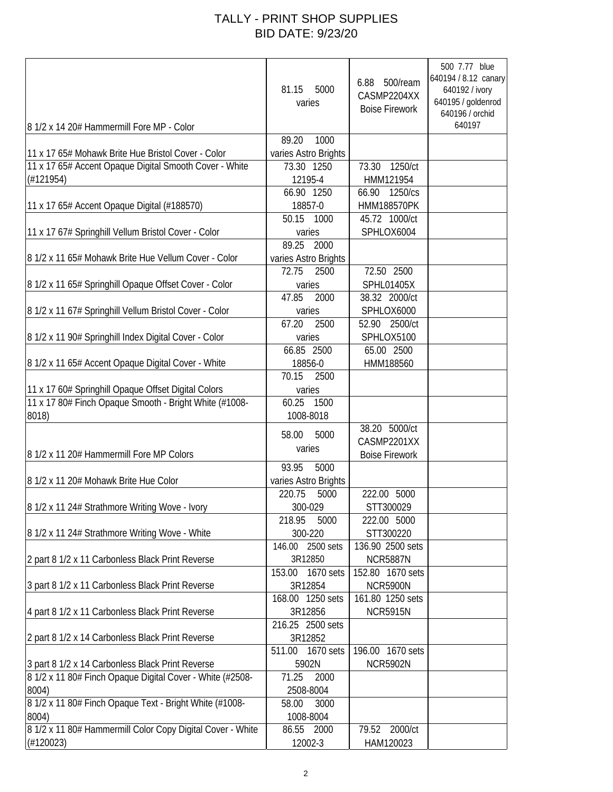## TALLY - PRINT SHOP SUPPLIES BID DATE: 9/23/20

| 8 1/2 x 14 20# Hammermill Fore MP - Color                  | 5000<br>81.15<br>varies | 6.88 500/ream<br>CASMP2204XX<br><b>Boise Firework</b> | 500 7.77 blue<br>640194 / 8.12 canary<br>640192 / ivory<br>640195 / goldenrod<br>640196 / orchid<br>640197 |
|------------------------------------------------------------|-------------------------|-------------------------------------------------------|------------------------------------------------------------------------------------------------------------|
|                                                            | 1000<br>89.20           |                                                       |                                                                                                            |
| 11 x 17 65# Mohawk Brite Hue Bristol Cover - Color         | varies Astro Brights    |                                                       |                                                                                                            |
| 11 x 17 65# Accent Opaque Digital Smooth Cover - White     | 73.30 1250              | 1250/ct<br>73.30                                      |                                                                                                            |
| (H121954)                                                  | 12195-4                 | HMM121954                                             |                                                                                                            |
|                                                            | 66.90 1250              | 66.90 1250/cs                                         |                                                                                                            |
|                                                            |                         |                                                       |                                                                                                            |
| 11 x 17 65# Accent Opaque Digital (#188570)                | 18857-0                 | <b>HMM188570PK</b>                                    |                                                                                                            |
|                                                            | 50.15 1000              | 45.72 1000/ct                                         |                                                                                                            |
| 11 x 17 67# Springhill Vellum Bristol Cover - Color        | varies                  | SPHLOX6004                                            |                                                                                                            |
|                                                            | 89.25 2000              |                                                       |                                                                                                            |
| 8 1/2 x 11 65# Mohawk Brite Hue Vellum Cover - Color       | varies Astro Brights    |                                                       |                                                                                                            |
|                                                            | 72.75<br>2500           | 72.50 2500                                            |                                                                                                            |
| 8 1/2 x 11 65# Springhill Opaque Offset Cover - Color      | varies                  | SPHL01405X                                            |                                                                                                            |
|                                                            | 47.85<br>2000           | 38.32 2000/ct                                         |                                                                                                            |
| 8 1/2 x 11 67# Springhill Vellum Bristol Cover - Color     | varies                  | SPHLOX6000                                            |                                                                                                            |
|                                                            | 67.20<br>2500           | 52.90 2500/ct                                         |                                                                                                            |
| 8 1/2 x 11 90# Springhill Index Digital Cover - Color      | varies                  | SPHLOX5100                                            |                                                                                                            |
|                                                            | 66.85 2500              | 65.00 2500                                            |                                                                                                            |
| 8 1/2 x 11 65# Accent Opaque Digital Cover - White         | 18856-0                 | HMM188560                                             |                                                                                                            |
|                                                            | 70.15<br>2500           |                                                       |                                                                                                            |
|                                                            |                         |                                                       |                                                                                                            |
| 11 x 17 60# Springhill Opaque Offset Digital Colors        | varies                  |                                                       |                                                                                                            |
| 11 x 17 80# Finch Opaque Smooth - Bright White (#1008-     | 60.25<br>1500           |                                                       |                                                                                                            |
| 8018)                                                      | 1008-8018               |                                                       |                                                                                                            |
|                                                            | 5000<br>58.00           | 38.20 5000/ct                                         |                                                                                                            |
|                                                            | varies                  | CASMP2201XX                                           |                                                                                                            |
| 8 1/2 x 11 20# Hammermill Fore MP Colors                   |                         | <b>Boise Firework</b>                                 |                                                                                                            |
|                                                            | 93.95<br>5000           |                                                       |                                                                                                            |
| 8 1/2 x 11 20# Mohawk Brite Hue Color                      | varies Astro Brights    |                                                       |                                                                                                            |
|                                                            | 220.75<br>5000          | 222.00 5000                                           |                                                                                                            |
| 8 1/2 x 11 24# Strathmore Writing Wove - Ivory             | 300-029                 | STT300029                                             |                                                                                                            |
|                                                            | 218.95<br>5000          | 222.00 5000                                           |                                                                                                            |
| 8 1/2 x 11 24# Strathmore Writing Wove - White             | 300-220                 | STT300220                                             |                                                                                                            |
|                                                            | 146.00 2500 sets        | 136.90 2500 sets                                      |                                                                                                            |
| 2 part 8 1/2 x 11 Carbonless Black Print Reverse           | 3R12850                 | <b>NCR5887N</b>                                       |                                                                                                            |
|                                                            | 1670 sets<br>153.00     | 152.80 1670 sets                                      |                                                                                                            |
| 3 part 8 1/2 x 11 Carbonless Black Print Reverse           | 3R12854                 | <b>NCR5900N</b>                                       |                                                                                                            |
|                                                            | 168.00 1250 sets        | 161.80 1250 sets                                      |                                                                                                            |
|                                                            |                         |                                                       |                                                                                                            |
| 4 part 8 1/2 x 11 Carbonless Black Print Reverse           | 3R12856                 | <b>NCR5915N</b>                                       |                                                                                                            |
|                                                            | 216.25 2500 sets        |                                                       |                                                                                                            |
| 2 part 8 1/2 x 14 Carbonless Black Print Reverse           | 3R12852                 |                                                       |                                                                                                            |
|                                                            | 511.00<br>1670 sets     | 196.00 1670 sets                                      |                                                                                                            |
| 3 part 8 1/2 x 14 Carbonless Black Print Reverse           | 5902N                   | <b>NCR5902N</b>                                       |                                                                                                            |
| 8 1/2 x 11 80# Finch Opaque Digital Cover - White (#2508-  | 71.25<br>2000           |                                                       |                                                                                                            |
| 8004)                                                      | 2508-8004               |                                                       |                                                                                                            |
| 8 1/2 x 11 80# Finch Opaque Text - Bright White (#1008-    | 58.00<br>3000           |                                                       |                                                                                                            |
| 8004)                                                      | 1008-8004               |                                                       |                                                                                                            |
| 8 1/2 x 11 80# Hammermill Color Copy Digital Cover - White | 86.55 2000              | 2000/ct<br>79.52                                      |                                                                                                            |
| (H120023)                                                  | 12002-3                 | HAM120023                                             |                                                                                                            |
|                                                            |                         |                                                       |                                                                                                            |